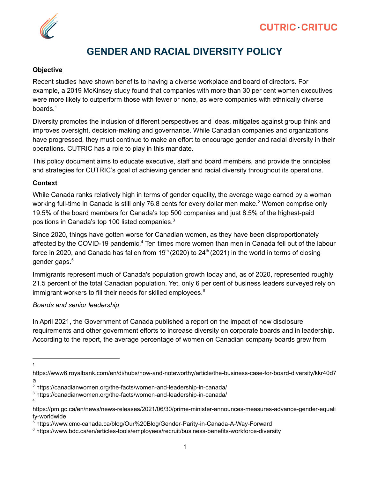

## **GENDER AND RACIAL DIVERSITY POLICY**

#### **Objective**

Recent studies have shown benefits to having a diverse workplace and board of directors. For example, a 2019 McKinsey study found that companies with more than 30 per cent women executives were more likely to outperform those with fewer or none, as were companies with ethnically diverse boards. 1

Diversity promotes the inclusion of different perspectives and ideas, mitigates against group think and improves oversight, decision-making and governance. While Canadian companies and organizations have progressed, they must continue to make an effort to encourage gender and racial diversity in their operations. CUTRIC has a role to play in this mandate.

This policy document aims to educate executive, staff and board members, and provide the principles and strategies for CUTRIC's goal of achieving gender and racial diversity throughout its operations.

#### **Context**

While Canada ranks relatively high in terms of gender equality, the average wage earned by a woman working full-time in Canada is still only 76.8 cents for every dollar men make.<sup>2</sup> Women comprise only 19.5% of the board members for Canada's top 500 companies and just 8.5% of the highest-paid positions in Canada's top 100 listed companies. 3

Since 2020, things have gotten worse for Canadian women, as they have been disproportionately affected by the COVID-19 pandemic.<sup>4</sup> Ten times more women than men in Canada fell out of the labour force in 2020, and Canada has fallen from 19<sup>th</sup> (2020) to 24<sup>th</sup> (2021) in the world in terms of closing gender gaps. 5

Immigrants represent much of Canada's population growth today and, as of 2020, represented roughly 21.5 percent of the total Canadian population. Yet, only 6 per cent of business leaders surveyed rely on immigrant workers to fill their needs for skilled employees.<sup>6</sup>

## *Boards and senior leadership*

In April 2021, the Government of Canada published a report on the impact of new disclosure requirements and other government efforts to increase diversity on corporate boards and in leadership. According to the report, the average percentage of women on Canadian company boards grew from

1

4

https://www6.royalbank.com/en/di/hubs/now-and-noteworthy/article/the-business-case-for-board-diversity/kkr40d7 a

<sup>2</sup> https://canadianwomen.org/the-facts/women-and-leadership-in-canada/

<sup>3</sup> https://canadianwomen.org/the-facts/women-and-leadership-in-canada/

https://pm.gc.ca/en/news/news-releases/2021/06/30/prime-minister-announces-measures-advance-gender-equali ty-worldwide

<sup>5</sup> https://www.cmc-canada.ca/blog/Our%20Blog/Gender-Parity-in-Canada-A-Way-Forward

<sup>6</sup> https://www.bdc.ca/en/articles-tools/employees/recruit/business-benefits-workforce-diversity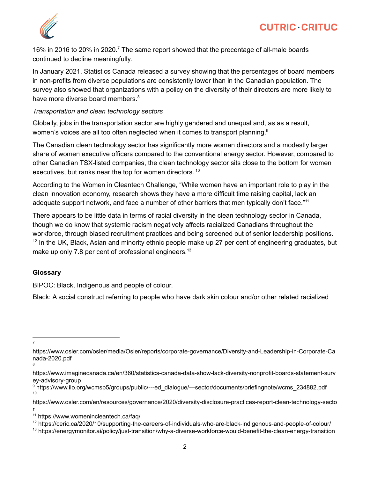

16% in 2016 to 20% in 2020.<sup>7</sup> The same report showed that the precentage of all-male boards continued to decline meaningfully.

In January 2021, Statistics Canada released a survey showing that the percentages of board members in non-profits from diverse populations are consistently lower than in the Canadian population. The survey also showed that organizations with a policy on the diversity of their directors are more likely to have more diverse board members.<sup>8</sup>

#### *Transportation and clean technology sectors*

Globally, jobs in the transportation sector are highly gendered and unequal and, as as a result, women's voices are all too often neglected when it comes to transport planning.<sup>9</sup>

The Canadian clean technology sector has significantly more women directors and a modestly larger share of women executive officers compared to the conventional energy sector. However, compared to other Canadian TSX-listed companies, the clean technology sector sits close to the bottom for women executives, but ranks near the top for women directors.<sup>10</sup>

According to the Women in Cleantech Challenge, "While women have an important role to play in the clean innovation economy, research shows they have a more difficult time raising capital, lack an adequate support network, and face a number of other barriers that men typically don't face."<sup>11</sup>

There appears to be little data in terms of racial diversity in the clean technology sector in Canada, though we do know that systemic racism negatively affects racialized Canadians throughout the workforce, through biased recruitment practices and being screened out of senior leadership positions.  $12$  In the UK, Black, Asian and minority ethnic people make up 27 per cent of engineering graduates, but make up only 7.8 per cent of professional engineers.<sup>13</sup>

## **Glossary**

BIPOC: Black, Indigenous and people of colour.

Black: A social construct referring to people who have dark skin colour and/or other related racialized

7

<sup>8</sup> https://www.osler.com/osler/media/Osler/reports/corporate-governance/Diversity-and-Leadership-in-Corporate-Ca nada-2020.pdf

https://www.imaginecanada.ca/en/360/statistics-canada-data-show-lack-diversity-nonprofit-boards-statement-surv ey-advisory-group

<sup>10</sup> <sup>9</sup> https://www.ilo.org/wcmsp5/groups/public/---ed\_dialogue/---sector/documents/briefingnote/wcms\_234882.pdf

https://www.osler.com/en/resources/governance/2020/diversity-disclosure-practices-report-clean-technology-secto r

<sup>11</sup> https://www.womenincleantech.ca/faq/

<sup>&</sup>lt;sup>12</sup> https://ceric.ca/2020/10/supporting-the-careers-of-individuals-who-are-black-indigenous-and-people-of-colour/

<sup>&</sup>lt;sup>13</sup> https://energymonitor.ai/policy/just-transition/why-a-diverse-workforce-would-benefit-the-clean-energy-transition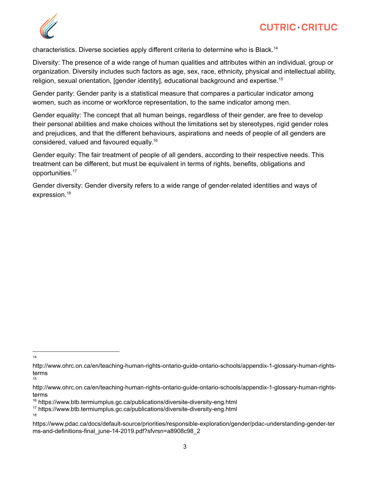

characteristics. Diverse societies apply different criteria to determine who is Black.<sup>14</sup>

Diversity: The presence of a wide range of human qualities and attributes within an individual, group or organization. Diversity includes such factors as age, sex, race, ethnicity, physical and intellectual ability, religion, sexual orientation, [gender identity], educational background and expertise. 15

Gender parity: Gender parity is a statistical measure that compares a particular indicator among women, such as income or workforce representation, to the same indicator among men.

Gender equality: The concept that all human beings, regardless of their gender, are free to develop their personal abilities and make choices without the limitations set by stereotypes, rigid gender roles and prejudices, and that the different behaviours, aspirations and needs of people of all genders are considered, valued and favoured equally.<sup>16</sup>

Gender equity: The fair treatment of people of all genders, according to their respective needs. This treatment can be different, but must be equivalent in terms of rights, benefits, obligations and opportunities. 17

Gender diversity: Gender diversity refers to a wide range of gender-related identities and ways of expression. 18

14

18

<sup>15</sup> http://www.ohrc.on.ca/en/teaching-human-rights-ontario-guide-ontario-schools/appendix-1-glossary-human-rightsterms

http://www.ohrc.on.ca/en/teaching-human-rights-ontario-guide-ontario-schools/appendix-1-glossary-human-rightsterms

<sup>&</sup>lt;sup>16</sup> https://www.btb.termiumplus.gc.ca/publications/diversite-diversity-eng.html

<sup>17</sup> https://www.btb.termiumplus.gc.ca/publications/diversite-diversity-eng.html

https://www.pdac.ca/docs/default-source/priorities/responsible-exploration/gender/pdac-understanding-gender-ter ms-and-definitions-final\_june-14-2019.pdf?sfvrsn=a8908c98\_2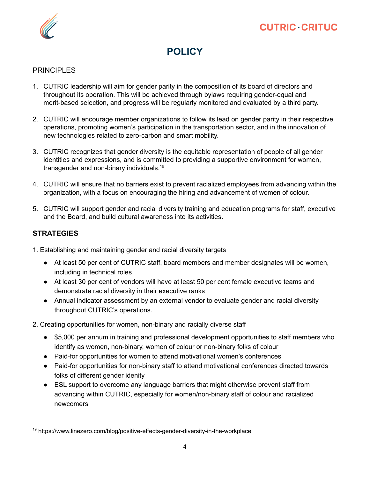

# **POLICY**

## PRINCIPLES

- 1. CUTRIC leadership will aim for gender parity in the composition of its board of directors and throughout its operation. This will be achieved through bylaws requiring gender-equal and merit-based selection, and progress will be regularly monitored and evaluated by a third party.
- 2. CUTRIC will encourage member organizations to follow its lead on gender parity in their respective operations, promoting women's participation in the transportation sector, and in the innovation of new technologies related to zero-carbon and smart mobility.
- 3. CUTRIC recognizes that gender diversity is the equitable representation of people of all gender identities and expressions, and is committed to providing a supportive environment for women, transgender and non-binary individuals.<sup>19</sup>
- 4. CUTRIC will ensure that no barriers exist to prevent racialized employees from advancing within the organization, with a focus on encouraging the hiring and advancement of women of colour.
- 5. CUTRIC will support gender and racial diversity training and education programs for staff, executive and the Board, and build cultural awareness into its activities.

## **STRATEGIES**

- 1. Establishing and maintaining gender and racial diversity targets
	- At least 50 per cent of CUTRIC staff, board members and member designates will be women, including in technical roles
	- At least 30 per cent of vendors will have at least 50 per cent female executive teams and demonstrate racial diversity in their executive ranks
	- Annual indicator assessment by an external vendor to evaluate gender and racial diversity throughout CUTRIC's operations.
- 2. Creating opportunities for women, non-binary and racially diverse staff
	- \$5,000 per annum in training and professional development opportunities to staff members who identify as women, non-binary, women of colour or non-binary folks of colour
	- Paid-for opportunities for women to attend motivational women's conferences
	- Paid-for opportunities for non-binary staff to attend motivational conferences directed towards folks of different gender idenity
	- ESL support to overcome any language barriers that might otherwise prevent staff from advancing within CUTRIC, especially for women/non-binary staff of colour and racialized newcomers

<sup>&</sup>lt;sup>19</sup> https://www.linezero.com/blog/positive-effects-gender-diversity-in-the-workplace